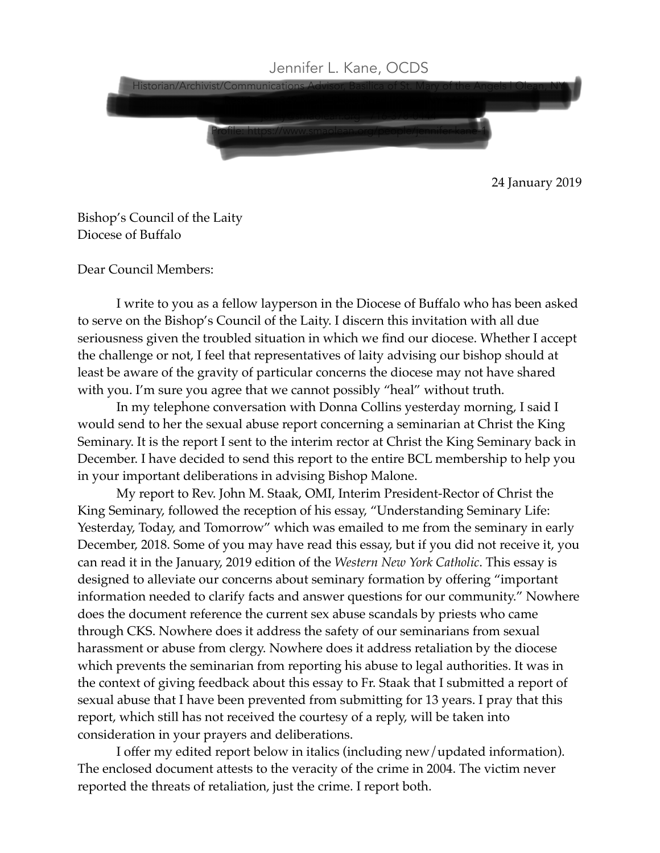

24 January 2019

Bishop's Council of the Laity Diocese of Buffalo

Dear Council Members:

I write to you as a fellow layperson in the Diocese of Buffalo who has been asked to serve on the Bishop's Council of the Laity. I discern this invitation with all due seriousness given the troubled situation in which we find our diocese. Whether I accept the challenge or not, I feel that representatives of laity advising our bishop should at least be aware of the gravity of particular concerns the diocese may not have shared with you. I'm sure you agree that we cannot possibly "heal" without truth.

In my telephone conversation with Donna Collins yesterday morning, I said I would send to her the sexual abuse report concerning a seminarian at Christ the King Seminary. It is the report I sent to the interim rector at Christ the King Seminary back in December. I have decided to send this report to the entire BCL membership to help you in your important deliberations in advising Bishop Malone.

My report to Rev. John M. Staak, OMI, Interim President-Rector of Christ the King Seminary, followed the reception of his essay, "Understanding Seminary Life: Yesterday, Today, and Tomorrow" which was emailed to me from the seminary in early December, 2018. Some of you may have read this essay, but if you did not receive it, you can read it in the January, 2019 edition of the *Western New York Catholic*. This essay is designed to alleviate our concerns about seminary formation by offering "important information needed to clarify facts and answer questions for our community." Nowhere does the document reference the current sex abuse scandals by priests who came through CKS. Nowhere does it address the safety of our seminarians from sexual harassment or abuse from clergy. Nowhere does it address retaliation by the diocese which prevents the seminarian from reporting his abuse to legal authorities. It was in the context of giving feedback about this essay to Fr. Staak that I submitted a report of sexual abuse that I have been prevented from submitting for 13 years. I pray that this report, which still has not received the courtesy of a reply, will be taken into consideration in your prayers and deliberations.

I offer my edited report below in italics (including new/updated information). The enclosed document attests to the veracity of the crime in 2004. The victim never reported the threats of retaliation, just the crime. I report both.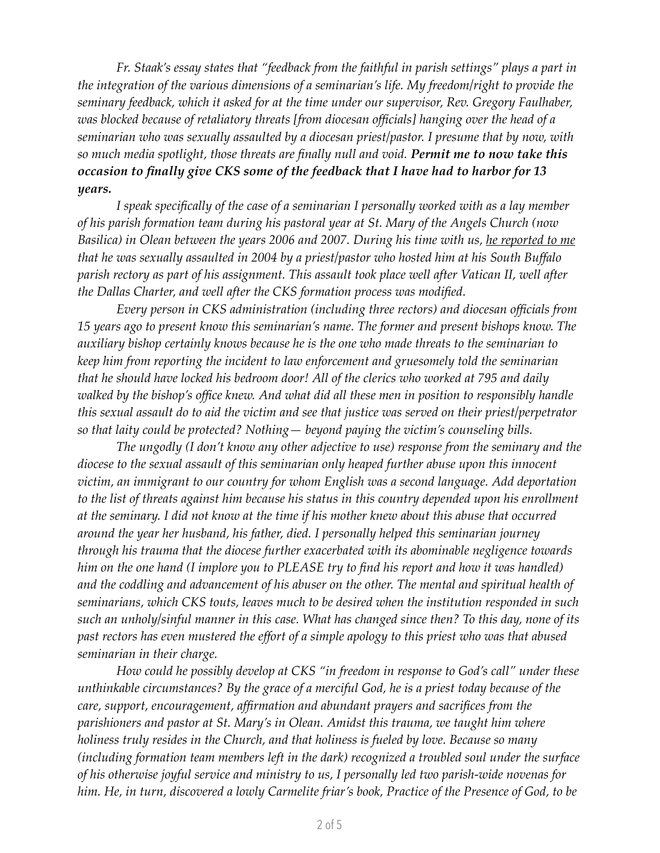*Fr. Staak's essay states that "feedback from the faithful in parish settings" plays a part in the integration of the various dimensions of a seminarian's life. My freedom/right to provide the seminary feedback, which it asked for at the time under our supervisor, Rev. Gregory Faulhaber, was blocked because of retaliatory threats [from diocesan officials] hanging over the head of a seminarian who was sexually assaulted by a diocesan priest/pastor. I presume that by now, with so much media spotlight, those threats are finally null and void. Permit me to now take this occasion to finally give CKS some of the feedback that I have had to harbor for 13 years.*

*I speak specifically of the case of a seminarian I personally worked with as a lay member of his parish formation team during his pastoral year at St. Mary of the Angels Church (now Basilica) in Olean between the years 2006 and 2007. During his time with us, he reported to me that he was sexually assaulted in 2004 by a priest/pastor who hosted him at his South Buffalo parish rectory as part of his assignment. This assault took place well after Vatican II, well after the Dallas Charter, and well after the CKS formation process was modified.*

*Every person in CKS administration (including three rectors) and diocesan officials from 15 years ago to present know this seminarian's name. The former and present bishops know. The auxiliary bishop certainly knows because he is the one who made threats to the seminarian to keep him from reporting the incident to law enforcement and gruesomely told the seminarian that he should have locked his bedroom door! All of the clerics who worked at 795 and daily walked by the bishop's office knew. And what did all these men in position to responsibly handle this sexual assault do to aid the victim and see that justice was served on their priest/perpetrator so that laity could be protected? Nothing— beyond paying the victim's counseling bills.*

*The ungodly (I don't know any other adjective to use) response from the seminary and the diocese to the sexual assault of this seminarian only heaped further abuse upon this innocent victim, an immigrant to our country for whom English was a second language. Add deportation to the list of threats against him because his status in this country depended upon his enrollment at the seminary. I did not know at the time if his mother knew about this abuse that occurred around the year her husband, his father, died. I personally helped this seminarian journey through his trauma that the diocese further exacerbated with its abominable negligence towards him on the one hand (I implore you to PLEASE try to find his report and how it was handled) and the coddling and advancement of his abuser on the other. The mental and spiritual health of seminarians, which CKS touts, leaves much to be desired when the institution responded in such such an unholy/sinful manner in this case. What has changed since then? To this day, none of its past rectors has even mustered the effort of a simple apology to this priest who was that abused seminarian in their charge.*

*How could he possibly develop at CKS "in freedom in response to God's call" under these unthinkable circumstances? By the grace of a merciful God, he is a priest today because of the care, support, encouragement, affirmation and abundant prayers and sacrifices from the parishioners and pastor at St. Mary's in Olean. Amidst this trauma, we taught him where holiness truly resides in the Church, and that holiness is fueled by love. Because so many (including formation team members left in the dark) recognized a troubled soul under the surface of his otherwise joyful service and ministry to us, I personally led two parish-wide novenas for him. He, in turn, discovered a lowly Carmelite friar's book, Practice of the Presence of God, to be*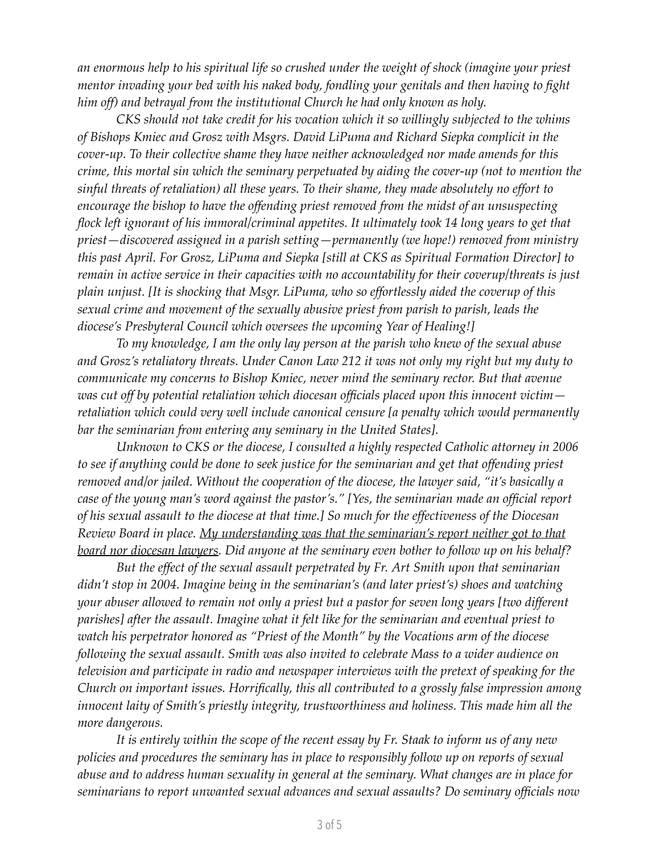*an enormous help to his spiritual life so crushed under the weight of shock (imagine your priest mentor invading your bed with his naked body, fondling your genitals and then having to fight him off) and betrayal from the institutional Church he had only known as holy.* 

*CKS should not take credit for his vocation which it so willingly subjected to the whims of Bishops Kmiec and Grosz with Msgrs. David LiPuma and Richard Siepka complicit in the cover-up. To their collective shame they have neither acknowledged nor made amends for this crime, this mortal sin which the seminary perpetuated by aiding the cover-up (not to mention the sinful threats of retaliation) all these years. To their shame, they made absolutely no effort to encourage the bishop to have the offending priest removed from the midst of an unsuspecting flock left ignorant of his immoral/criminal appetites. It ultimately took 14 long years to get that priest—discovered assigned in a parish setting—permanently (we hope!) removed from ministry this past April. For Grosz, LiPuma and Siepka [still at CKS as Spiritual Formation Director] to remain in active service in their capacities with no accountability for their coverup/threats is just plain unjust. [It is shocking that Msgr. LiPuma, who so effortlessly aided the coverup of this sexual crime and movement of the sexually abusive priest from parish to parish, leads the diocese's Presbyteral Council which oversees the upcoming Year of Healing!]*

*To my knowledge, I am the only lay person at the parish who knew of the sexual abuse and Grosz's retaliatory threats. Under Canon Law 212 it was not only my right but my duty to communicate my concerns to Bishop Kmiec, never mind the seminary rector. But that avenue was cut off by potential retaliation which diocesan officials placed upon this innocent victim retaliation which could very well include canonical censure [a penalty which would permanently bar the seminarian from entering any seminary in the United States].*

*Unknown to CKS or the diocese, I consulted a highly respected Catholic attorney in 2006 to see if anything could be done to seek justice for the seminarian and get that offending priest removed and/or jailed. Without the cooperation of the diocese, the lawyer said, "it's basically a case of the young man's word against the pastor's." [Yes, the seminarian made an official report of his sexual assault to the diocese at that time.] So much for the effectiveness of the Diocesan Review Board in place. My understanding was that the seminarian's report neither got to that board nor diocesan lawyers. Did anyone at the seminary even bother to follow up on his behalf?* 

*But the effect of the sexual assault perpetrated by Fr. Art Smith upon that seminarian didn't stop in 2004. Imagine being in the seminarian's (and later priest's) shoes and watching your abuser allowed to remain not only a priest but a pastor for seven long years [two different parishes] after the assault. Imagine what it felt like for the seminarian and eventual priest to watch his perpetrator honored as "Priest of the Month" by the Vocations arm of the diocese following the sexual assault. Smith was also invited to celebrate Mass to a wider audience on television and participate in radio and newspaper interviews with the pretext of speaking for the Church on important issues. Horrifically, this all contributed to a grossly false impression among innocent laity of Smith's priestly integrity, trustworthiness and holiness. This made him all the more dangerous.* 

*It is entirely within the scope of the recent essay by Fr. Staak to inform us of any new policies and procedures the seminary has in place to responsibly follow up on reports of sexual abuse and to address human sexuality in general at the seminary. What changes are in place for seminarians to report unwanted sexual advances and sexual assaults? Do seminary officials now*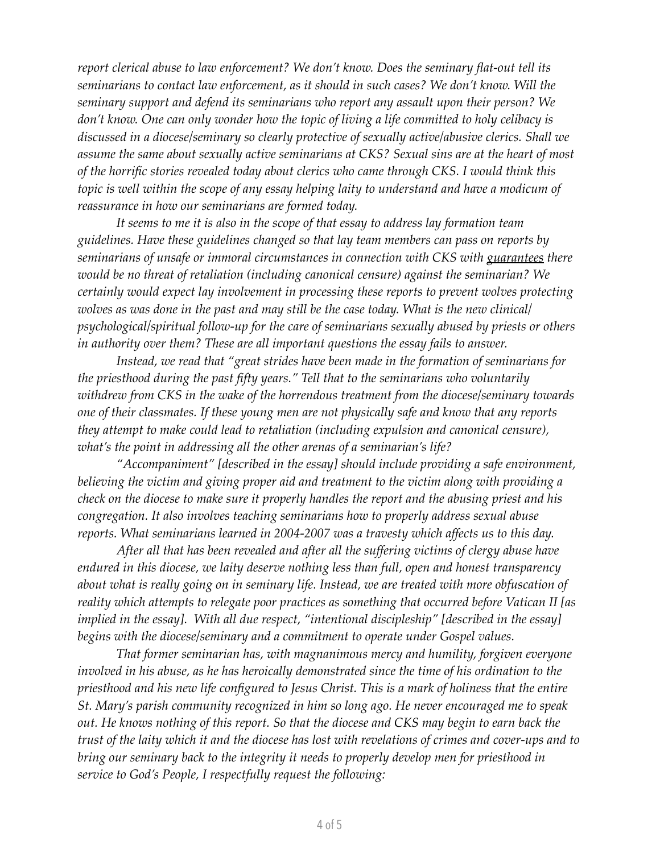*report clerical abuse to law enforcement? We don't know. Does the seminary flat-out tell its seminarians to contact law enforcement, as it should in such cases? We don't know. Will the seminary support and defend its seminarians who report any assault upon their person? We don't know. One can only wonder how the topic of living a life committed to holy celibacy is discussed in a diocese/seminary so clearly protective of sexually active/abusive clerics. Shall we assume the same about sexually active seminarians at CKS? Sexual sins are at the heart of most of the horrific stories revealed today about clerics who came through CKS. I would think this topic is well within the scope of any essay helping laity to understand and have a modicum of reassurance in how our seminarians are formed today.* 

*It seems to me it is also in the scope of that essay to address lay formation team guidelines. Have these guidelines changed so that lay team members can pass on reports by seminarians of unsafe or immoral circumstances in connection with CKS with guarantees there would be no threat of retaliation (including canonical censure) against the seminarian? We certainly would expect lay involvement in processing these reports to prevent wolves protecting wolves as was done in the past and may still be the case today. What is the new clinical/ psychological/spiritual follow-up for the care of seminarians sexually abused by priests or others in authority over them? These are all important questions the essay fails to answer.*

*Instead, we read that "great strides have been made in the formation of seminarians for the priesthood during the past fifty years." Tell that to the seminarians who voluntarily withdrew from CKS in the wake of the horrendous treatment from the diocese/seminary towards one of their classmates. If these young men are not physically safe and know that any reports they attempt to make could lead to retaliation (including expulsion and canonical censure), what's the point in addressing all the other arenas of a seminarian's life?*

*"Accompaniment" [described in the essay] should include providing a safe environment, believing the victim and giving proper aid and treatment to the victim along with providing a check on the diocese to make sure it properly handles the report and the abusing priest and his congregation. It also involves teaching seminarians how to properly address sexual abuse reports. What seminarians learned in 2004-2007 was a travesty which affects us to this day.*

*After all that has been revealed and after all the suffering victims of clergy abuse have endured in this diocese, we laity deserve nothing less than full, open and honest transparency about what is really going on in seminary life. Instead, we are treated with more obfuscation of reality which attempts to relegate poor practices as something that occurred before Vatican II [as implied in the essay]. With all due respect, "intentional discipleship" [described in the essay] begins with the diocese/seminary and a commitment to operate under Gospel values.*

*That former seminarian has, with magnanimous mercy and humility, forgiven everyone involved in his abuse, as he has heroically demonstrated since the time of his ordination to the priesthood and his new life configured to Jesus Christ. This is a mark of holiness that the entire St. Mary's parish community recognized in him so long ago. He never encouraged me to speak out. He knows nothing of this report. So that the diocese and CKS may begin to earn back the trust of the laity which it and the diocese has lost with revelations of crimes and cover-ups and to bring our seminary back to the integrity it needs to properly develop men for priesthood in service to God's People, I respectfully request the following:*